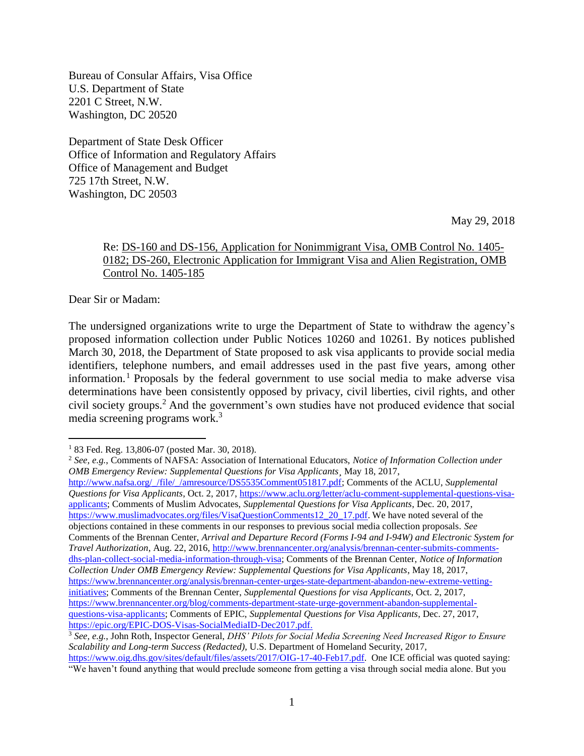Bureau of Consular Affairs, Visa Office U.S. Department of State 2201 C Street, N.W. Washington, DC 20520

Department of State Desk Officer Office of Information and Regulatory Affairs Office of Management and Budget 725 17th Street, N.W. Washington, DC 20503

May 29, 2018

#### Re: DS-160 and DS-156, Application for Nonimmigrant Visa, OMB Control No. 1405- 0182; DS-260, Electronic Application for Immigrant Visa and Alien Registration, OMB Control No. 1405-185

Dear Sir or Madam:

 $\overline{a}$ 

The undersigned organizations write to urge the Department of State to withdraw the agency's proposed information collection under Public Notices 10260 and 10261. By notices published March 30, 2018, the Department of State proposed to ask visa applicants to provide social media identifiers, telephone numbers, and email addresses used in the past five years, among other information.<sup>1</sup> Proposals by the federal government to use social media to make adverse visa determinations have been consistently opposed by privacy, civil liberties, civil rights, and other civil society groups.<sup>2</sup> And the government's own studies have not produced evidence that social media screening programs work.<sup>3</sup>

<sup>2</sup> *See, e.g.*, Comments of NAFSA: Association of International Educators, *Notice of Information Collection under OMB Emergency Review: Supplemental Questions for Visa Applicants¸* May 18, 2017, [http://www.nafsa.org/\\_/file/\\_/amresource/DS5535Comment051817.pdf;](http://www.nafsa.org/_/file/_/amresource/DS5535Comment051817.pdf) Comments of the ACLU, *Supplemental Questions for Visa Applicants*, Oct. 2, 2017, [https://www.aclu.org/letter/aclu-comment-supplemental-questions-visa](https://www.aclu.org/letter/aclu-comment-supplemental-questions-visa-applicants)[applicants;](https://www.aclu.org/letter/aclu-comment-supplemental-questions-visa-applicants) Comments of Muslim Advocates, *Supplemental Questions for Visa Applicants*, Dec. 20, 2017, [https://www.muslimadvocates.org/files/VisaQuestionComments12\\_20\\_17.pdf.](https://www.muslimadvocates.org/files/VisaQuestionComments12_20_17.pdf) We have noted several of the objections contained in these comments in our responses to previous social media collection proposals. *See* Comments of the Brennan Center, *Arrival and Departure Record (Forms I-94 and I-94W) and Electronic System for Travel Authorization*, Aug. 22, 2016, [http://www.brennancenter.org/analysis/brennan-center-submits-comments](http://www.brennancenter.org/analysis/brennan-center-submits-comments-dhs-plan-collect-social-media-information-through-visa)[dhs-plan-collect-social-media-information-through-visa;](http://www.brennancenter.org/analysis/brennan-center-submits-comments-dhs-plan-collect-social-media-information-through-visa) Comments of the Brennan Center, *Notice of Information Collection Under OMB Emergency Review: Supplemental Questions for Visa Applicants*, May 18, 2017, [https://www.brennancenter.org/analysis/brennan-center-urges-state-department-abandon-new-extreme-vetting](https://www.brennancenter.org/analysis/brennan-center-urges-state-department-abandon-new-extreme-vetting-initiatives)[initiatives;](https://www.brennancenter.org/analysis/brennan-center-urges-state-department-abandon-new-extreme-vetting-initiatives) Comments of the Brennan Center, *Supplemental Questions for visa Applicants*, Oct. 2, 2017, [https://www.brennancenter.org/blog/comments-department-state-urge-government-abandon-supplemental](https://www.brennancenter.org/blog/comments-department-state-urge-government-abandon-supplemental-questions-visa-applicants)[questions-visa-applicants;](https://www.brennancenter.org/blog/comments-department-state-urge-government-abandon-supplemental-questions-visa-applicants) Comments of EPIC, *Supplemental Questions for Visa Applicants*, Dec. 27, 2017, [https://epic.org/EPIC-DOS-Visas-SocialMediaID-Dec2017.pdf.](https://epic.org/EPIC-DOS-Visas-SocialMediaID-Dec2017.pdf) 

 $183$  Fed. Reg. 13,806-07 (posted Mar. 30, 2018).

<sup>3</sup> *See, e.g.*, John Roth, Inspector General, *DHS' Pilots for Social Media Screening Need Increased Rigor to Ensure Scalability and Long-term Success (Redacted)*, U.S. Department of Homeland Security, 2017, [https://www.oig.dhs.gov/sites/default/files/assets/2017/OIG-17-40-Feb17.pdf.](https://www.oig.dhs.gov/sites/default/files/assets/2017/OIG-17-40-Feb17.pdf) One ICE official was quoted saying:

<sup>&</sup>quot;We haven't found anything that would preclude someone from getting a visa through social media alone. But you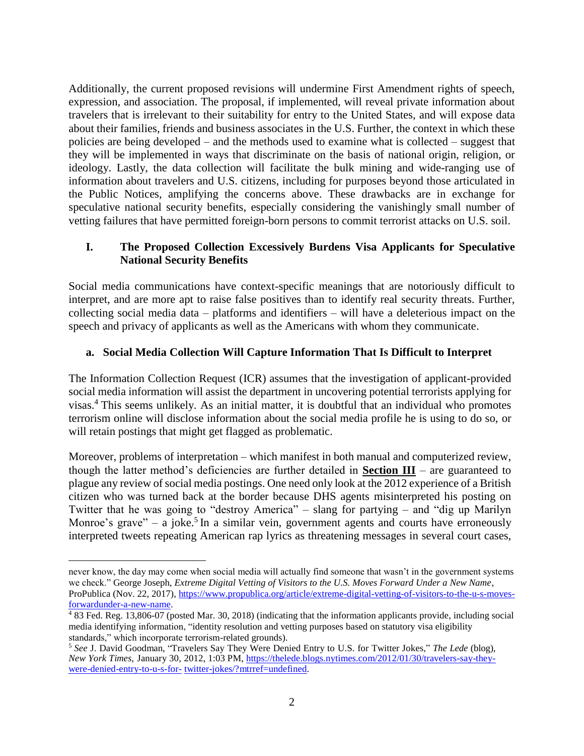Additionally, the current proposed revisions will undermine First Amendment rights of speech, expression, and association. The proposal, if implemented, will reveal private information about travelers that is irrelevant to their suitability for entry to the United States, and will expose data about their families, friends and business associates in the U.S. Further, the context in which these policies are being developed – and the methods used to examine what is collected – suggest that they will be implemented in ways that discriminate on the basis of national origin, religion, or ideology. Lastly, the data collection will facilitate the bulk mining and wide-ranging use of information about travelers and U.S. citizens, including for purposes beyond those articulated in the Public Notices, amplifying the concerns above. These drawbacks are in exchange for speculative national security benefits, especially considering the vanishingly small number of vetting failures that have permitted foreign-born persons to commit terrorist attacks on U.S. soil.

## **I. The Proposed Collection Excessively Burdens Visa Applicants for Speculative National Security Benefits**

Social media communications have context-specific meanings that are notoriously difficult to interpret, and are more apt to raise false positives than to identify real security threats. Further, collecting social media data – platforms and identifiers – will have a deleterious impact on the speech and privacy of applicants as well as the Americans with whom they communicate.

### **a. Social Media Collection Will Capture Information That Is Difficult to Interpret**

The Information Collection Request (ICR) assumes that the investigation of applicant-provided social media information will assist the department in uncovering potential terrorists applying for visas.<sup>4</sup> This seems unlikely. As an initial matter, it is doubtful that an individual who promotes terrorism online will disclose information about the social media profile he is using to do so, or will retain postings that might get flagged as problematic.

Moreover, problems of interpretation – which manifest in both manual and computerized review, though the latter method's deficiencies are further detailed in **Section III** – are guaranteed to plague any review of social media postings. One need only look at the 2012 experience of a British citizen who was turned back at the border because DHS agents misinterpreted his posting on Twitter that he was going to "destroy America" – slang for partying – and "dig up Marilyn Monroe's grave"  $-$  a joke.<sup>5</sup> In a similar vein, government agents and courts have erroneously interpreted tweets repeating American rap lyrics as threatening messages in several court cases,

never know, the day may come when social media will actually find someone that wasn't in the government systems we check." George Joseph, *Extreme Digital Vetting of Visitors to the U.S. Moves Forward Under a New Name*, ProPublica (Nov. 22, 2017), [https://www.propublica.org/article/extreme-digital-vetting-of-visitors-to-the-u-s-moves](https://www.propublica.org/article/extreme-digital-vetting-of-visitors-to-the-u-s-moves-forwardunder-a-new-name)[forwardunder-a-new-name.](https://www.propublica.org/article/extreme-digital-vetting-of-visitors-to-the-u-s-moves-forwardunder-a-new-name)

 $483$  Fed. Reg. 13,806-07 (posted Mar. 30, 2018) (indicating that the information applicants provide, including social media identifying information, "identity resolution and vetting purposes based on statutory visa eligibility standards," which incorporate terrorism-related grounds).

<sup>5</sup> *See* J. David Goodman, "Travelers Say They Were Denied Entry to U.S. for Twitter Jokes," *The Lede* (blog), *New York Times,* January 30, 2012, 1:03 PM, [https://thelede.blogs.nytimes.com/2012/01/30/travelers-say-they](https://thelede.blogs.nytimes.com/2012/01/30/travelers-say-they-were-denied-entry-to-u-s-for-)[were-denied-entry-to-u-s-for-](https://thelede.blogs.nytimes.com/2012/01/30/travelers-say-they-were-denied-entry-to-u-s-for-) [twitter-jokes/?mtrref=undefined.](https://thelede.blogs.nytimes.com/2012/01/30/travelers-say-they-were-denied-entry-to-u-s-for-twitter-jokes/?mtrref=undefined)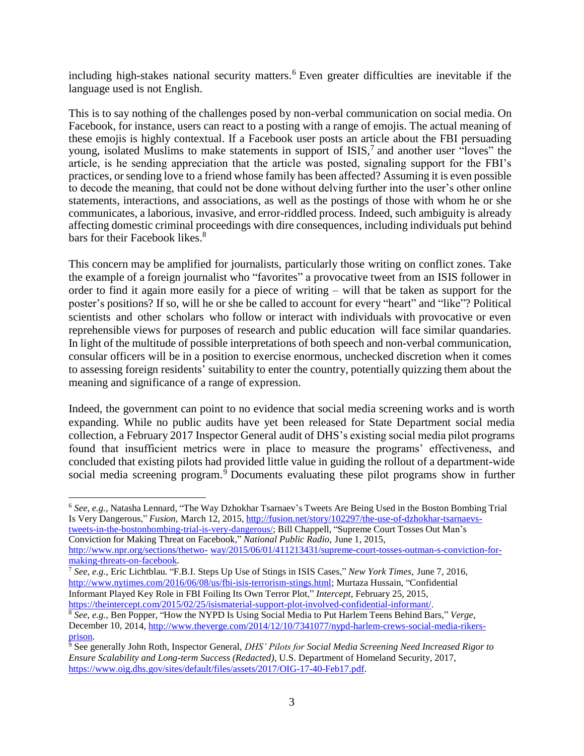including high-stakes national security matters. <sup>6</sup> Even greater difficulties are inevitable if the language used is not English.

This is to say nothing of the challenges posed by non-verbal communication on social media. On Facebook, for instance, users can react to a posting with a range of emojis. The actual meaning of these emojis is highly contextual. If a Facebook user posts an article about the FBI persuading young, isolated Muslims to make statements in support of ISIS,<sup>7</sup> and another user "loves" the article, is he sending appreciation that the article was posted, signaling support for the FBI's practices, or sending love to a friend whose family has been affected? Assuming it is even possible to decode the meaning, that could not be done without delving further into the user's other online statements, interactions, and associations, as well as the postings of those with whom he or she communicates, a laborious, invasive, and error-riddled process. Indeed, such ambiguity is already affecting domestic criminal proceedings with dire consequences, including individuals put behind bars for their Facebook likes.<sup>8</sup>

This concern may be amplified for journalists, particularly those writing on conflict zones. Take the example of a foreign journalist who "favorites" a provocative tweet from an ISIS follower in order to find it again more easily for a piece of writing – will that be taken as support for the poster's positions? If so, will he or she be called to account for every "heart" and "like"? Political scientists and other scholars who follow or interact with individuals with provocative or even reprehensible views for purposes of research and public education will face similar quandaries. In light of the multitude of possible interpretations of both speech and non-verbal communication, consular officers will be in a position to exercise enormous, unchecked discretion when it comes to assessing foreign residents' suitability to enter the country, potentially quizzing them about the meaning and significance of a range of expression.

Indeed, the government can point to no evidence that social media screening works and is worth expanding. While no public audits have yet been released for State Department social media collection, a February 2017 Inspector General audit of DHS's existing social media pilot programs found that insufficient metrics were in place to measure the programs' effectiveness, and concluded that existing pilots had provided little value in guiding the rollout of a department-wide social media screening program.<sup>9</sup> Documents evaluating these pilot programs show in further

[http://www.npr.org/sections/thetwo-](http://www.npr.org/sections/thetwo-way/2015/06/01/411213431/supreme-court-tosses-outman-s-conviction-for-making-threats-on-facebook) [way/2015/06/01/411213431/supreme-court-tosses-outman-s-conviction-for](http://www.npr.org/sections/thetwo-way/2015/06/01/411213431/supreme-court-tosses-outman-s-conviction-for-making-threats-on-facebook)[making-threats-on-facebook.](http://www.npr.org/sections/thetwo-way/2015/06/01/411213431/supreme-court-tosses-outman-s-conviction-for-making-threats-on-facebook)

[https://theintercept.com/2015/02/25/isismaterial-support-plot-involved-confidential-informant/.](https://theintercept.com/2015/02/25/isismaterial-support-plot-involved-confidential-informant/)

 $\overline{a}$ <sup>6</sup> *See*, *e.g.*, Natasha Lennard, "The Way Dzhokhar Tsarnaev's Tweets Are Being Used in the Boston Bombing Trial Is Very Dangerous," *Fusion,* March 12, 2015, [http://fusion.net/story/102297/the-use-of-dzhokhar-tsarnaevs](http://fusion.net/story/102297/the-use-of-dzhokhar-tsarnaevs-tweets-in-the-bostonbombing-trial-is-very-dangerous/)[tweets-in-the-bostonbombing-trial-is-very-dangerous/;](http://fusion.net/story/102297/the-use-of-dzhokhar-tsarnaevs-tweets-in-the-bostonbombing-trial-is-very-dangerous/) Bill Chappell, "Supreme Court Tosses Out Man's Conviction for Making Threat on Facebook," *National Public Radio,* June 1, 2015,

<sup>7</sup> *See*, *e.g.*, Eric Lichtblau. "F.B.I. Steps Up Use of Stings in ISIS Cases," *New York Times*, June 7, 2016, [http://www.nytimes.com/2016/06/08/us/fbi-isis-terrorism-stings.html;](http://www.nytimes.com/2016/06/08/us/fbi-isis-terrorism-stings.html) Murtaza Hussain, "Confidential Informant Played Key Role in FBI Foiling Its Own Terror Plot," *Intercept,* February 25, 2015,

<sup>8</sup> *See*, *e.g.*, Ben Popper, "How the NYPD Is Using Social Media to Put Harlem Teens Behind Bars," *Verge,* December 10, 2014, [http://www.theverge.com/2014/12/10/7341077/nypd-harlem-crews-social-media-rikers](http://www.theverge.com/2014/12/10/7341077/nypd-harlem-crews-social-media-rikers-prison)[prison.](http://www.theverge.com/2014/12/10/7341077/nypd-harlem-crews-social-media-rikers-prison)

<sup>9</sup> See generally John Roth, Inspector General, *DHS' Pilots for Social Media Screening Need Increased Rigor to Ensure Scalability and Long-term Success (Redacted)*, U.S. Department of Homeland Security, 2017, [https://www.oig.dhs.gov/sites/default/files/assets/2017/OIG-17-40-Feb17.pdf.](https://www.oig.dhs.gov/sites/default/files/assets/2017/OIG-17-40-Feb17.pdf)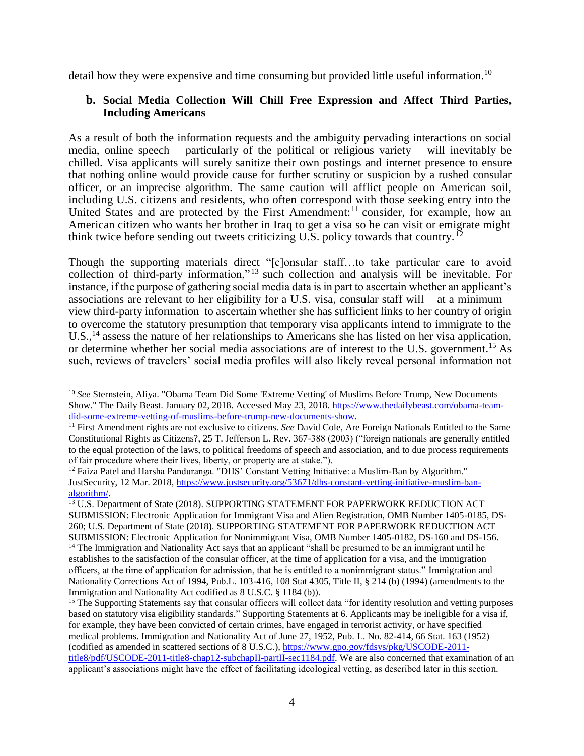detail how they were expensive and time consuming but provided little useful information.<sup>10</sup>

#### **b. Social Media Collection Will Chill Free Expression and Affect Third Parties, Including Americans**

As a result of both the information requests and the ambiguity pervading interactions on social media, online speech – particularly of the political or religious variety – will inevitably be chilled. Visa applicants will surely sanitize their own postings and internet presence to ensure that nothing online would provide cause for further scrutiny or suspicion by a rushed consular officer, or an imprecise algorithm. The same caution will afflict people on American soil, including U.S. citizens and residents, who often correspond with those seeking entry into the United States and are protected by the First Amendment:<sup>11</sup> consider, for example, how an American citizen who wants her brother in Iraq to get a visa so he can visit or emigrate might think twice before sending out tweets criticizing U.S. policy towards that country.  $^{12}$ 

Though the supporting materials direct "[c]onsular staff…to take particular care to avoid collection of third-party information," <sup>13</sup> such collection and analysis will be inevitable. For instance, if the purpose of gathering social media data is in part to ascertain whether an applicant's associations are relevant to her eligibility for a U.S. visa, consular staff will – at a minimum – view third-party information to ascertain whether she has sufficient links to her country of origin to overcome the statutory presumption that temporary visa applicants intend to immigrate to the U.S.,<sup>14</sup> assess the nature of her relationships to Americans she has listed on her visa application, or determine whether her social media associations are of interest to the U.S. government. <sup>15</sup> As such, reviews of travelers' social media profiles will also likely reveal personal information not

<sup>10</sup> *See* Sternstein, Aliya. "Obama Team Did Some 'Extreme Vetting' of Muslims Before Trump, New Documents Show." The Daily Beast. January 02, 2018. Accessed May 23, 2018. [https://www.thedailybeast.com/obama-team](https://www.thedailybeast.com/obama-team-did-some-extreme-vetting-of-muslims-before-trump-new-documents-show)[did-some-extreme-vetting-of-muslims-before-trump-new-documents-show.](https://www.thedailybeast.com/obama-team-did-some-extreme-vetting-of-muslims-before-trump-new-documents-show)

<sup>&</sup>lt;sup>11</sup> First Amendment rights are not exclusive to citizens. *See* David Cole, Are Foreign Nationals Entitled to the Same Constitutional Rights as Citizens?, 25 T. Jefferson L. Rev. 367-388 (2003) ("foreign nationals are generally entitled to the equal protection of the laws, to political freedoms of speech and association, and to due process requirements of fair procedure where their lives, liberty, or property are at stake.").

 $12$  Faiza Patel and Harsha Panduranga. "DHS' Constant Vetting Initiative: a Muslim-Ban by Algorithm." JustSecurity, 12 Mar. 2018, [https://www.justsecurity.org/53671/dhs-constant-vetting-initiative-muslim-ban](https://www.justsecurity.org/53671/dhs-constant-vetting-initiative-muslim-ban-algorithm/)[algorithm/.](https://www.justsecurity.org/53671/dhs-constant-vetting-initiative-muslim-ban-algorithm/)

<sup>&</sup>lt;sup>13</sup> U.S. Department of State (2018). SUPPORTING STATEMENT FOR PAPERWORK REDUCTION ACT SUBMISSION: Electronic Application for Immigrant Visa and Alien Registration, OMB Number 1405-0185, DS-260; U.S. Department of State (2018). SUPPORTING STATEMENT FOR PAPERWORK REDUCTION ACT SUBMISSION: Electronic Application for Nonimmigrant Visa, OMB Number 1405-0182, DS-160 and DS-156. <sup>14</sup> The Immigration and Nationality Act says that an applicant "shall be presumed to be an immigrant until he establishes to the satisfaction of the consular officer, at the time of application for a visa, and the immigration officers, at the time of application for admission, that he is entitled to a nonimmigrant status." Immigration and Nationality Corrections Act of 1994, Pub.L. 103-416, 108 Stat 4305, Title II, § 214 (b) (1994) (amendments to the Immigration and Nationality Act codified as 8 U.S.C. § 1184 (b)).

<sup>&</sup>lt;sup>15</sup> The Supporting Statements say that consular officers will collect data "for identity resolution and vetting purposes based on statutory visa eligibility standards." Supporting Statements at 6. Applicants may be ineligible for a visa if, for example, they have been convicted of certain crimes, have engaged in terrorist activity, or have specified medical problems. Immigration and Nationality Act of June 27, 1952, Pub. L. No. 82-414, 66 Stat. 163 (1952) (codified as amended in scattered sections of 8 U.S.C.), [https://www.gpo.gov/fdsys/pkg/USCODE-2011](https://www.gpo.gov/fdsys/pkg/USCODE-2011-title8/pdf/USCODE-2011-title8-chap12-subchapII-partII-sec1184.pdf) [title8/pdf/USCODE-2011-title8-chap12-subchapII-partII-sec1184.pdf.](https://www.gpo.gov/fdsys/pkg/USCODE-2011-title8/pdf/USCODE-2011-title8-chap12-subchapII-partII-sec1184.pdf) We are also concerned that examination of an applicant's associations might have the effect of facilitating ideological vetting, as described later in this section.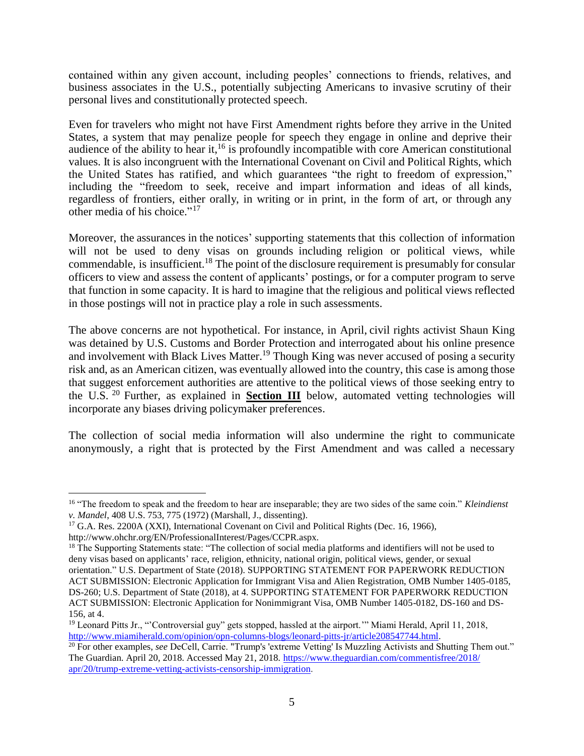contained within any given account, including peoples' connections to friends, relatives, and business associates in the U.S., potentially subjecting Americans to invasive scrutiny of their personal lives and constitutionally protected speech.

Even for travelers who might not have First Amendment rights before they arrive in the United States, a system that may penalize people for speech they engage in online and deprive their audience of the ability to hear it,<sup>16</sup> is profoundly incompatible with core American constitutional values. It is also incongruent with the International Covenant on Civil and Political Rights, which the United States has ratified, and which guarantees "the right to freedom of expression," including the "freedom to seek, receive and impart information and ideas of all kinds, regardless of frontiers, either orally, in writing or in print, in the form of art, or through any other media of his choice."<sup>17</sup>

Moreover, the assurances in the notices' supporting statements that this collection of information will not be used to deny visas on grounds including religion or political views, while commendable, is insufficient.<sup>18</sup> The point of the disclosure requirement is presumably for consular officers to view and assess the content of applicants' postings, or for a computer program to serve that function in some capacity. It is hard to imagine that the religious and political views reflected in those postings will not in practice play a role in such assessments.

The above concerns are not hypothetical. For instance, in April, civil rights activist Shaun King was detained by U.S. Customs and Border Protection and interrogated about his online presence and involvement with Black Lives Matter.<sup>19</sup> Though King was never accused of posing a security risk and, as an American citizen, was eventually allowed into the country, this case is among those that suggest enforcement authorities are attentive to the political views of those seeking entry to the U.S. <sup>20</sup> Further, as explained in **Section III** below, automated vetting technologies will incorporate any biases driving policymaker preferences.

The collection of social media information will also undermine the right to communicate anonymously, a right that is protected by the First Amendment and was called a necessary

<sup>16</sup> "The freedom to speak and the freedom to hear are inseparable; they are two sides of the same coin." *Kleindienst v. Mandel*, 408 U.S. 753, 775 (1972) (Marshall, J., dissenting).

<sup>&</sup>lt;sup>17</sup> G.A. Res. 2200A (XXI), International Covenant on Civil and Political Rights (Dec. 16, 1966),

http://www.ohchr.org/EN/ProfessionalInterest/Pages/CCPR.aspx.

<sup>&</sup>lt;sup>18</sup> The Supporting Statements state: "The collection of social media platforms and identifiers will not be used to deny visas based on applicants' race, religion, ethnicity, national origin, political views, gender, or sexual orientation." U.S. Department of State (2018). SUPPORTING STATEMENT FOR PAPERWORK REDUCTION ACT SUBMISSION: Electronic Application for Immigrant Visa and Alien Registration, OMB Number 1405-0185, DS-260; U.S. Department of State (2018), at 4. SUPPORTING STATEMENT FOR PAPERWORK REDUCTION ACT SUBMISSION: Electronic Application for Nonimmigrant Visa, OMB Number 1405-0182, DS-160 and DS-156, at 4.

<sup>&</sup>lt;sup>19</sup> Leonard Pitts Jr., "Controversial guy" gets stopped, hassled at the airport." Miami Herald, April 11, 2018, [http://www.miamiherald.com/opinion/opn-columns-blogs/leonard-pitts-jr/article208547744.html.](http://www.miamiherald.com/opinion/opn-columns-blogs/leonard-pitts-jr/article208547744.html)

<sup>&</sup>lt;sup>20</sup> For other examples, *see* DeCell, Carrie. "Trump's 'extreme Vetting' Is Muzzling Activists and Shutting Them out." The Guardian. April 20, 2018. Accessed May 21, 2018. [https://www.theguardian.com/commentisfree/2018/](https://www.theguardian.com/commentisfree/2018/apr/20/trump-extreme-vetting-activists-censorship-immigration) [apr/20/trump-extreme-vetting-activists-censorship-immigration.](https://www.theguardian.com/commentisfree/2018/apr/20/trump-extreme-vetting-activists-censorship-immigration)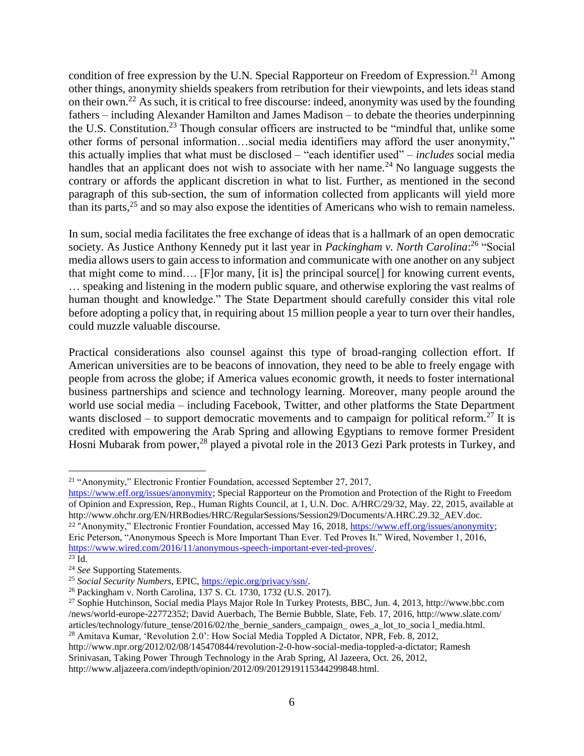condition of free expression by the U.N. Special Rapporteur on Freedom of Expression.<sup>21</sup> Among other things, anonymity shields speakers from retribution for their viewpoints, and lets ideas stand on their own.<sup>22</sup> As such, it is critical to free discourse: indeed, anonymity was used by the founding fathers – including Alexander Hamilton and James Madison – to debate the theories underpinning the U.S. Constitution.<sup>23</sup> Though consular officers are instructed to be "mindful that, unlike some other forms of personal information…social media identifiers may afford the user anonymity," this actually implies that what must be disclosed – "each identifier used" – *includes* social media handles that an applicant does not wish to associate with her name.<sup>24</sup> No language suggests the contrary or affords the applicant discretion in what to list. Further, as mentioned in the second paragraph of this sub-section, the sum of information collected from applicants will yield more than its parts,<sup>25</sup> and so may also expose the identities of Americans who wish to remain nameless.

In sum, social media facilitates the free exchange of ideas that is a hallmark of an open democratic society. As Justice Anthony Kennedy put it last year in *Packingham v. North Carolina*: <sup>26</sup> "Social media allows users to gain access to information and communicate with one another on any subject that might come to mind…. [F]or many, [it is] the principal source[] for knowing current events, … speaking and listening in the modern public square, and otherwise exploring the vast realms of human thought and knowledge." The State Department should carefully consider this vital role before adopting a policy that, in requiring about 15 million people a year to turn over their handles, could muzzle valuable discourse.

Practical considerations also counsel against this type of broad-ranging collection effort. If American universities are to be beacons of innovation, they need to be able to freely engage with people from across the globe; if America values economic growth, it needs to foster international business partnerships and science and technology learning. Moreover, many people around the world use social media – including Facebook, Twitter, and other platforms the State Department wants disclosed – to support democratic movements and to campaign for political reform.<sup>27</sup> It is credited with empowering the Arab Spring and allowing Egyptians to remove former President Hosni Mubarak from power,<sup>28</sup> played a pivotal role in the 2013 Gezi Park protests in Turkey, and

 $\overline{a}$ 

http://www.npr.org/2012/02/08/145470844/revolution-2-0-how-social-media-toppled-a-dictator; Ramesh

http://www.aljazeera.com/indepth/opinion/2012/09/2012919115344299848.html.

<sup>&</sup>lt;sup>21</sup> "Anonymity," Electronic Frontier Foundation, accessed September 27, 2017,

[https://www.eff.org/issues/anonymity;](https://www.eff.org/issues/anonymity) Special Rapporteur on the Promotion and Protection of the Right to Freedom of Opinion and Expression, Rep., Human Rights Council, at 1, U.N. Doc. A/HRC/29/32, May. 22, 2015, available at http://www.ohchr.org/EN/HRBodies/HRC/RegularSessions/Session29/Documents/A.HRC.29.32\_AEV.doc. <sup>22</sup> "Anonymity," Electronic Frontier Foundation, accessed May 16, 2018, [https://www.eff.org/issues/anonymity;](https://www.eff.org/issues/anonymity) Eric Peterson, "Anonymous Speech is More Important Than Ever. Ted Proves It." Wired, November 1, 2016, [https://www.wired.com/2016/11/anonymous-speech-important-ever-ted-proves/.](https://www.wired.com/2016/11/anonymous-speech-important-ever-ted-proves/) 

 $^{23}$  Id.

<sup>24</sup> *See* Supporting Statements.

<sup>25</sup> *Social Security Numbers*, EPIC, [https://epic.org/privacy/ssn/.](https://epic.org/privacy/ssn/)

<sup>26</sup> Packingham v. North Carolina, 137 S. Ct. 1730, 1732 (U.S. 2017).

<sup>27</sup> Sophie Hutchinson, Social media Plays Major Role In Turkey Protests, BBC, Jun. 4, 2013, http://www.bbc.com /news/world-europe-22772352; David Auerbach, The Bernie Bubble, Slate, Feb. 17, 2016, http://www.slate.com/ articles/technology/future\_tense/2016/02/the\_bernie\_sanders\_campaign\_ owes\_a\_lot\_to\_socia l\_media.html. <sup>28</sup> Amitava Kumar, 'Revolution 2.0': How Social Media Toppled A Dictator, NPR, Feb. 8, 2012,

Srinivasan, Taking Power Through Technology in the Arab Spring, Al Jazeera, Oct. 26, 2012,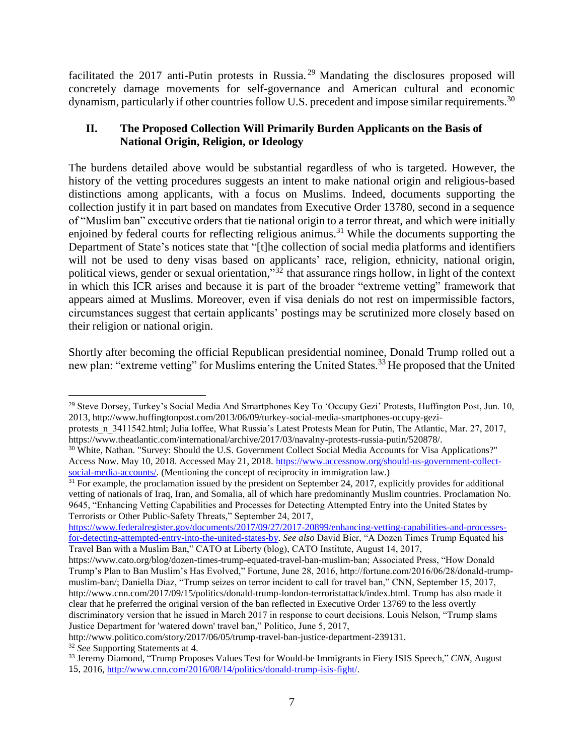facilitated the 2017 anti-Putin protests in Russia.<sup>29</sup> Mandating the disclosures proposed will concretely damage movements for self-governance and American cultural and economic dynamism, particularly if other countries follow U.S. precedent and impose similar requirements.<sup>30</sup>

## **II. The Proposed Collection Will Primarily Burden Applicants on the Basis of National Origin, Religion, or Ideology**

The burdens detailed above would be substantial regardless of who is targeted. However, the history of the vetting procedures suggests an intent to make national origin and religious-based distinctions among applicants, with a focus on Muslims. Indeed, documents supporting the collection justify it in part based on mandates from Executive Order 13780, second in a sequence of "Muslim ban" executive orders that tie national origin to a terror threat, and which were initially enjoined by federal courts for reflecting religious animus.<sup>31</sup> While the documents supporting the Department of State's notices state that "[t]he collection of social media platforms and identifiers will not be used to deny visas based on applicants' race, religion, ethnicity, national origin, political views, gender or sexual orientation,"<sup>32</sup> that assurance rings hollow, in light of the context in which this ICR arises and because it is part of the broader "extreme vetting" framework that appears aimed at Muslims. Moreover, even if visa denials do not rest on impermissible factors, circumstances suggest that certain applicants' postings may be scrutinized more closely based on their religion or national origin.

Shortly after becoming the official Republican presidential nominee, Donald Trump rolled out a new plan: "extreme vetting" for Muslims entering the United States.<sup>33</sup> He proposed that the United

protests n 3411542.html; Julia Ioffee, What Russia's Latest Protests Mean for Putin, The Atlantic, Mar. 27, 2017, https://www.theatlantic.com/international/archive/2017/03/navalny-protests-russia-putin/520878/.

[https://www.federalregister.gov/documents/2017/09/27/2017-20899/enhancing-vetting-capabilities-and-processes](https://www.federalregister.gov/documents/2017/09/27/2017-20899/enhancing-vetting-capabilities-and-processes-for-detecting-attempted-entry-into-the-united-states-by)[for-detecting-attempted-entry-into-the-united-states-by.](https://www.federalregister.gov/documents/2017/09/27/2017-20899/enhancing-vetting-capabilities-and-processes-for-detecting-attempted-entry-into-the-united-states-by) *See also* David Bier, "A Dozen Times Trump Equated his Travel Ban with a Muslim Ban," CATO at Liberty (blog), CATO Institute, August 14, 2017,

<sup>&</sup>lt;sup>29</sup> Steve Dorsey, Turkey's Social Media And Smartphones Key To 'Occupy Gezi' Protests, Huffington Post, Jun. 10, 2013, http://www.huffingtonpost.com/2013/06/09/turkey-social-media-smartphones-occupy-gezi-

<sup>&</sup>lt;sup>30</sup> White, Nathan. "Survey: Should the U.S. Government Collect Social Media Accounts for Visa Applications?" Access Now. May 10, 2018. Accessed May 21, 2018. [https://www.accessnow.org/should-us-government-collect](https://www.accessnow.org/should-us-government-collect-social-media-accounts/)[social-media-accounts/.](https://www.accessnow.org/should-us-government-collect-social-media-accounts/) (Mentioning the concept of reciprocity in immigration law.)

 $31$  For example, the proclamation issued by the president on September 24, 2017, explicitly provides for additional vetting of nationals of Iraq, Iran, and Somalia, all of which hare predominantly Muslim countries. Proclamation No. 9645, "Enhancing Vetting Capabilities and Processes for Detecting Attempted Entry into the United States by Terrorists or Other Public-Safety Threats," September 24, 2017,

https://www.cato.org/blog/dozen-times-trump-equated-travel-ban-muslim-ban; Associated Press, "How Donald Trump's Plan to Ban Muslim's Has Evolved," Fortune, June 28, 2016, http://fortune.com/2016/06/28/donald-trumpmuslim-ban/; Daniella Diaz, "Trump seizes on terror incident to call for travel ban," CNN, September 15, 2017, http://www.cnn.com/2017/09/15/politics/donald-trump-london-terroristattack/index.html. Trump has also made it clear that he preferred the original version of the ban reflected in Executive Order 13769 to the less overtly discriminatory version that he issued in March 2017 in response to court decisions. Louis Nelson, "Trump slams Justice Department for 'watered down' travel ban," Politico, June 5, 2017,

http://www.politico.com/story/2017/06/05/trump-travel-ban-justice-department-239131.

<sup>32</sup> *See* Supporting Statements at 4.

<sup>33</sup> Jeremy Diamond, "Trump Proposes Values Test for Would-be Immigrants in Fiery ISIS Speech," *CNN,* August 15, 2016, [http://www.cnn.com/2016/08/14/politics/donald-trump-isis-fight/.](http://www.cnn.com/2016/08/14/politics/donald-trump-isis-fight/)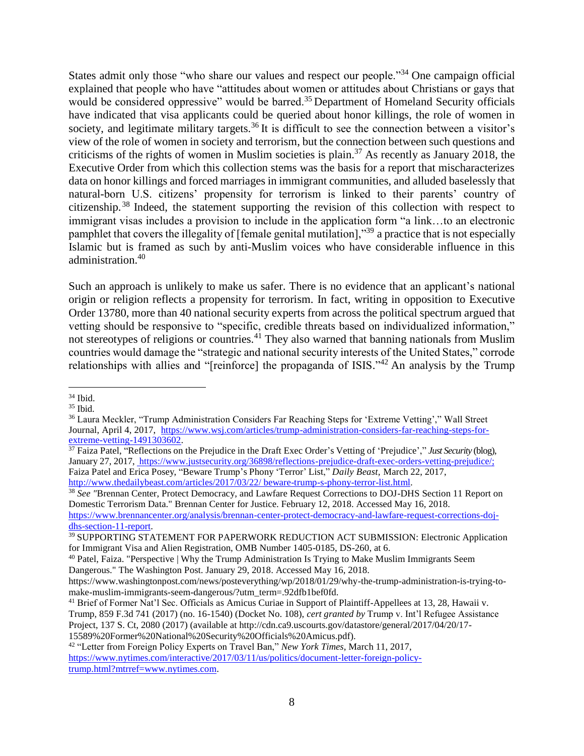States admit only those "who share our values and respect our people."<sup>34</sup> One campaign official explained that people who have "attitudes about women or attitudes about Christians or gays that would be considered oppressive" would be barred.<sup>35</sup> Department of Homeland Security officials have indicated that visa applicants could be queried about honor killings, the role of women in society, and legitimate military targets.<sup>36</sup> It is difficult to see the connection between a visitor's view of the role of women in society and terrorism, but the connection between such questions and criticisms of the rights of women in Muslim societies is plain.<sup>37</sup> As recently as January 2018, the Executive Order from which this collection stems was the basis for a report that mischaracterizes data on honor killings and forced marriages in immigrant communities, and alluded baselessly that natural-born U.S. citizens' propensity for terrorism is linked to their parents' country of citizenship.<sup>38</sup> Indeed, the statement supporting the revision of this collection with respect to immigrant visas includes a provision to include in the application form "a link…to an electronic pamphlet that covers the illegality of [female genital mutilation],"<sup>39</sup> a practice that is not especially Islamic but is framed as such by anti-Muslim voices who have considerable influence in this administration.<sup>40</sup>

Such an approach is unlikely to make us safer. There is no evidence that an applicant's national origin or religion reflects a propensity for terrorism. In fact, writing in opposition to Executive Order 13780, more than 40 national security experts from across the political spectrum argued that vetting should be responsive to "specific, credible threats based on individualized information," not stereotypes of religions or countries.<sup>41</sup> They also warned that banning nationals from Muslim countries would damage the "strategic and national security interests of the United States," corrode relationships with allies and "[reinforce] the propaganda of ISIS."<sup>42</sup> An analysis by the Trump

 $\overline{a}$ <sup>34</sup> Ibid.

<sup>35</sup> Ibid.

<sup>36</sup> Laura Meckler, "Trump Administration Considers Far Reaching Steps for 'Extreme Vetting'," Wall Street Journal, April 4, 2017, [https://www.wsj.com/articles/trump-administration-considers-far-reaching-steps-for](https://www.wsj.com/articles/trump-administration-considers-far-reaching-steps-for-extreme-vetting-1491303602)[extreme-vetting-1491303602.](https://www.wsj.com/articles/trump-administration-considers-far-reaching-steps-for-extreme-vetting-1491303602)

<sup>&</sup>lt;sup>37</sup> Faiza Patel, "Reflections on the Prejudice in the Draft Exec Order's Vetting of 'Prejudice'," *Just Security* (blog), January 27, 2017, <https://www.justsecurity.org/36898/reflections-prejudice-draft-exec-orders-vetting-prejudice/;> Faiza Patel and Erica Posey, "Beware Trump's Phony 'Terror' List," *Daily Beast,* March 22, 2017, [http://www.thedailybeast.com/articles/2017/03/22/](http://www.thedailybeast.com/articles/2017/03/22/%20beware-trump-s-phony-terror-list.html) beware-trump-s-phony-terror-list.html.

<sup>38</sup> *See "*Brennan Center, Protect Democracy, and Lawfare Request Corrections to DOJ-DHS Section 11 Report on Domestic Terrorism Data." Brennan Center for Justice. February 12, 2018. Accessed May 16, 2018. [https://www.brennancenter.org/analysis/brennan-center-protect-democracy-and-lawfare-request-corrections-doj](https://www.brennancenter.org/analysis/brennan-center-protect-democracy-and-lawfare-request-corrections-doj-dhs-section-11-report)[dhs-section-11-report.](https://www.brennancenter.org/analysis/brennan-center-protect-democracy-and-lawfare-request-corrections-doj-dhs-section-11-report)

<sup>&</sup>lt;sup>39</sup> SUPPORTING STATEMENT FOR PAPERWORK REDUCTION ACT SUBMISSION: Electronic Application for Immigrant Visa and Alien Registration, OMB Number 1405-0185, DS-260, at 6.

<sup>40</sup> Patel, Faiza. "Perspective | Why the Trump Administration Is Trying to Make Muslim Immigrants Seem Dangerous." The Washington Post. January 29, 2018. Accessed May 16, 2018.

https://www.washingtonpost.com/news/posteverything/wp/2018/01/29/why-the-trump-administration-is-trying-tomake-muslim-immigrants-seem-dangerous/?utm\_term=.92dfb1bef0fd.

<sup>&</sup>lt;sup>41</sup> Brief of Former Nat'l Sec. Officials as Amicus Curiae in Support of Plaintiff-Appellees at 13, 28, Hawaii v. Trump, 859 F.3d 741 (2017) (no. 16-1540) (Docket No. 108), *cert granted by* Trump v. Int'l Refugee Assistance

Project, 137 S. Ct, 2080 (2017) (available at http://cdn.ca9.uscourts.gov/datastore/general/2017/04/20/17- 15589%20Former%20National%20Security%20Officials%20Amicus.pdf).

<sup>42</sup> "Letter from Foreign Policy Experts on Travel Ban," *New York Times,* March 11, 2017, [https://www.nytimes.com/interactive/2017/03/11/us/politics/document-letter-foreign-policy](https://www.nytimes.com/interactive/2017/03/11/us/politics/document-letter-foreign-policy-trump.html?mtrref=www.nytimes.com)[trump.html?mtrref=www.nytimes.com.](https://www.nytimes.com/interactive/2017/03/11/us/politics/document-letter-foreign-policy-trump.html?mtrref=www.nytimes.com)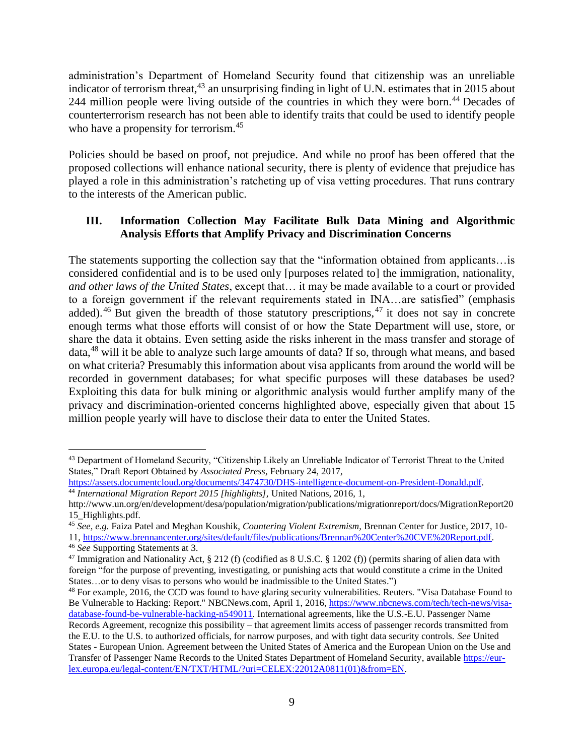administration's Department of Homeland Security found that citizenship was an unreliable indicator of terrorism threat,<sup>43</sup> an unsurprising finding in light of U.N. estimates that in 2015 about 244 million people were living outside of the countries in which they were born.<sup>44</sup> Decades of counterterrorism research has not been able to identify traits that could be used to identify people who have a propensity for terrorism.<sup>45</sup>

Policies should be based on proof, not prejudice. And while no proof has been offered that the proposed collections will enhance national security, there is plenty of evidence that prejudice has played a role in this administration's ratcheting up of visa vetting procedures. That runs contrary to the interests of the American public.

## **III. Information Collection May Facilitate Bulk Data Mining and Algorithmic Analysis Efforts that Amplify Privacy and Discrimination Concerns**

The statements supporting the collection say that the "information obtained from applicants…is considered confidential and is to be used only [purposes related to] the immigration, nationality, *and other laws of the United States*, except that… it may be made available to a court or provided to a foreign government if the relevant requirements stated in INA…are satisfied" (emphasis added).<sup>46</sup> But given the breadth of those statutory prescriptions,<sup>47</sup> it does not say in concrete enough terms what those efforts will consist of or how the State Department will use, store, or share the data it obtains. Even setting aside the risks inherent in the mass transfer and storage of data,<sup>48</sup> will it be able to analyze such large amounts of data? If so, through what means, and based on what criteria? Presumably this information about visa applicants from around the world will be recorded in government databases; for what specific purposes will these databases be used? Exploiting this data for bulk mining or algorithmic analysis would further amplify many of the privacy and discrimination-oriented concerns highlighted above, especially given that about 15 million people yearly will have to disclose their data to enter the United States.

 $\overline{a}$ <sup>43</sup> Department of Homeland Security, "Citizenship Likely an Unreliable Indicator of Terrorist Threat to the United States," Draft Report Obtained by *Associated Press*, February 24, 2017,

[https://assets.documentcloud.org/documents/3474730/DHS-intelligence-document-on-President-Donald.pdf.](https://assets.documentcloud.org/documents/3474730/DHS-intelligence-document-on-President-Donald.pdf) <sup>44</sup> *International Migration Report 2015 [highlights],* United Nations, 2016, 1,

http://www.un.org/en/development/desa/population/migration/publications/migrationreport/docs/MigrationReport20 15\_Highlights.pdf.

<sup>45</sup> *See, e.g.* Faiza Patel and Meghan Koushik, *Countering Violent Extremism,* Brennan Center for Justice, 2017, 10- 11, [https://www.brennancenter.org/sites/default/files/publications/Brennan%20Center%20CVE%20Report.pdf.](https://www.brennancenter.org/sites/default/files/publications/Brennan%20Center%20CVE%20Report.pdf)

<sup>46</sup> *See* Supporting Statements at 3.

<sup>&</sup>lt;sup>47</sup> Immigration and Nationality Act, § 212 (f) (codified as 8 U.S.C. § 1202 (f)) (permits sharing of alien data with foreign "for the purpose of preventing, investigating, or punishing acts that would constitute a crime in the United States…or to deny visas to persons who would be inadmissible to the United States.")

<sup>&</sup>lt;sup>48</sup> For example, 2016, the CCD was found to have glaring security vulnerabilities. Reuters. "Visa Database Found to Be Vulnerable to Hacking: Report." NBCNews.com, April 1, 2016, [https://www.nbcnews.com/tech/tech-news/visa](https://www.nbcnews.com/tech/tech-news/visa-database-found-be-vulnerable-hacking-n549011)[database-found-be-vulnerable-hacking-n549011.](https://www.nbcnews.com/tech/tech-news/visa-database-found-be-vulnerable-hacking-n549011) International agreements, like the U.S.-E.U. Passenger Name Records Agreement, recognize this possibility – that agreement limits access of passenger records transmitted from the E.U. to the U.S. to authorized officials, for narrow purposes, and with tight data security controls. *See* United States - European Union. Agreement between the United States of America and the European Union on the Use and Transfer of Passenger Name Records to the United States Department of Homeland Security, available [https://eur](https://eur-lex.europa.eu/legal-content/EN/TXT/HTML/?uri=CELEX:22012A0811(01)&from=EN)[lex.europa.eu/legal-content/EN/TXT/HTML/?uri=CELEX:22012A0811\(01\)&from=EN.](https://eur-lex.europa.eu/legal-content/EN/TXT/HTML/?uri=CELEX:22012A0811(01)&from=EN)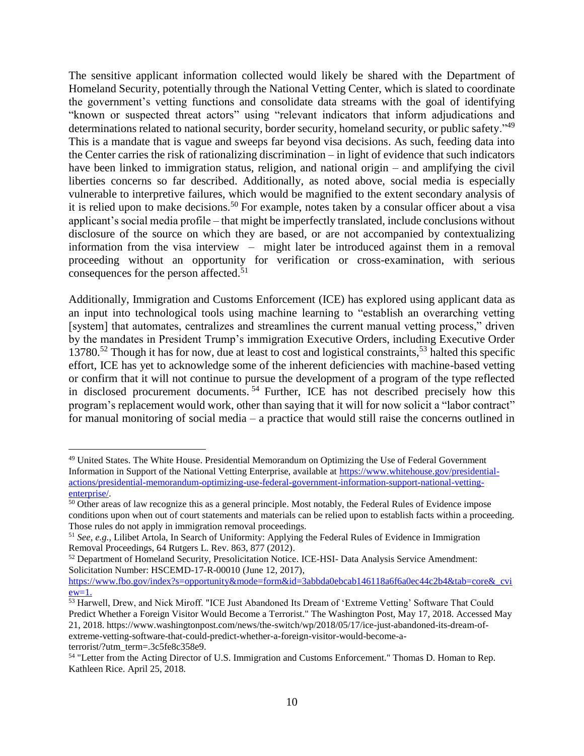The sensitive applicant information collected would likely be shared with the Department of Homeland Security, potentially through the National Vetting Center, which is slated to coordinate the government's vetting functions and consolidate data streams with the goal of identifying "known or suspected threat actors" using "relevant indicators that inform adjudications and determinations related to national security, border security, homeland security, or public safety."<sup>49</sup> This is a mandate that is vague and sweeps far beyond visa decisions. As such, feeding data into the Center carries the risk of rationalizing discrimination – in light of evidence that such indicators have been linked to immigration status, religion, and national origin – and amplifying the civil liberties concerns so far described. Additionally, as noted above, social media is especially vulnerable to interpretive failures, which would be magnified to the extent secondary analysis of it is relied upon to make decisions.<sup>50</sup> For example, notes taken by a consular officer about a visa applicant's social media profile – that might be imperfectly translated, include conclusions without disclosure of the source on which they are based, or are not accompanied by contextualizing information from the visa interview – might later be introduced against them in a removal proceeding without an opportunity for verification or cross-examination, with serious consequences for the person affected. 51

Additionally, Immigration and Customs Enforcement (ICE) has explored using applicant data as an input into technological tools using machine learning to "establish an overarching vetting [system] that automates, centralizes and streamlines the current manual vetting process," driven by the mandates in President Trump's immigration Executive Orders, including Executive Order  $13780$ <sup>52</sup> Though it has for now, due at least to cost and logistical constraints,<sup>53</sup> halted this specific effort, ICE has yet to acknowledge some of the inherent deficiencies with machine-based vetting or confirm that it will not continue to pursue the development of a program of the type reflected in disclosed procurement documents.<sup>54</sup> Further, ICE has not described precisely how this program's replacement would work, other than saying that it will for now solicit a "labor contract" for manual monitoring of social media – a practice that would still raise the concerns outlined in

 $\overline{a}$ <sup>49</sup> United States. The White House. Presidential Memorandum on Optimizing the Use of Federal Government Information in Support of the National Vetting Enterprise, available at [https://www.whitehouse.gov/presidential](https://www.whitehouse.gov/presidential-actions/presidential-memorandum-optimizing-use-federal-government-information-support-national-vetting-enterprise/)[actions/presidential-memorandum-optimizing-use-federal-government-information-support-national-vetting](https://www.whitehouse.gov/presidential-actions/presidential-memorandum-optimizing-use-federal-government-information-support-national-vetting-enterprise/)[enterprise/.](https://www.whitehouse.gov/presidential-actions/presidential-memorandum-optimizing-use-federal-government-information-support-national-vetting-enterprise/)

<sup>&</sup>lt;sup>50</sup> Other areas of law recognize this as a general principle. Most notably, the Federal Rules of Evidence impose conditions upon when out of court statements and materials can be relied upon to establish facts within a proceeding. Those rules do not apply in immigration removal proceedings.

<sup>51</sup> *See, e.g.*, Lilibet Artola, In Search of Uniformity: Applying the Federal Rules of Evidence in Immigration Removal Proceedings, 64 Rutgers L. Rev. 863, 877 (2012).

<sup>52</sup> Department of Homeland Security, Presolicitation Notice. ICE-HSI- Data Analysis Service Amendment: Solicitation Number: HSCEMD-17-R-00010 (June 12, 2017),

https://www.fbo.gov/index?s=opportunity&mode=form&id=3abbda0ebcab146118a6f6a0ec44c2b4&tab=core& cvi  $ew=1.$ 

<sup>&</sup>lt;sup>53</sup> Harwell, Drew, and Nick Miroff. "ICE Just Abandoned Its Dream of 'Extreme Vetting' Software That Could Predict Whether a Foreign Visitor Would Become a Terrorist." The Washington Post, May 17, 2018. Accessed May 21, 2018. https://www.washingtonpost.com/news/the-switch/wp/2018/05/17/ice-just-abandoned-its-dream-ofextreme-vetting-software-that-could-predict-whether-a-foreign-visitor-would-become-aterrorist/?utm\_term=.3c5fe8c358e9.

<sup>54</sup> "Letter from the Acting Director of U.S. Immigration and Customs Enforcement." Thomas D. Homan to Rep. Kathleen Rice. April 25, 2018.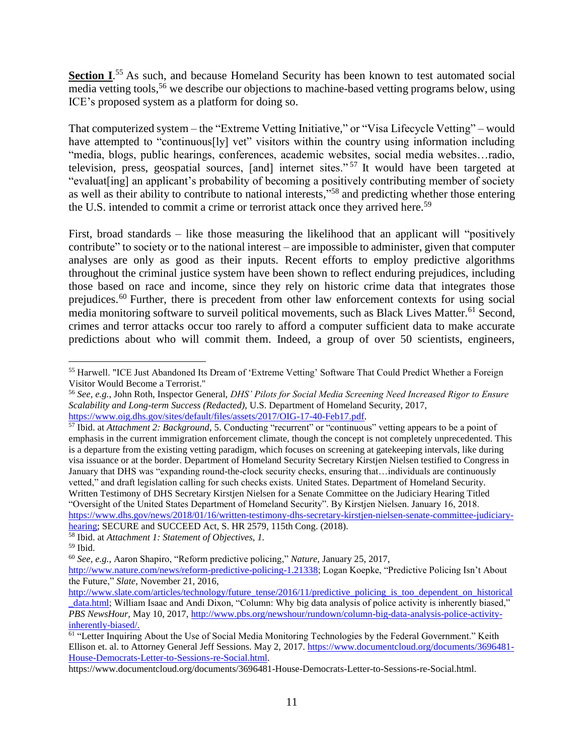**Section I.**<sup>55</sup> As such, and because Homeland Security has been known to test automated social media vetting tools,<sup>56</sup> we describe our objections to machine-based vetting programs below, using ICE's proposed system as a platform for doing so.

That computerized system – the "Extreme Vetting Initiative," or "Visa Lifecycle Vetting" – would have attempted to "continuous[ly] vet" visitors within the country using information including "media, blogs, public hearings, conferences, academic websites, social media websites…radio, television, press, geospatial sources, [and] internet sites." <sup>57</sup> It would have been targeted at "evaluat[ing] an applicant's probability of becoming a positively contributing member of society as well as their ability to contribute to national interests,"<sup>58</sup> and predicting whether those entering the U.S. intended to commit a crime or terrorist attack once they arrived here.<sup>59</sup>

First, broad standards – like those measuring the likelihood that an applicant will "positively contribute" to society or to the national interest – are impossible to administer, given that computer analyses are only as good as their inputs. Recent efforts to employ predictive algorithms throughout the criminal justice system have been shown to reflect enduring prejudices, including those based on race and income, since they rely on historic crime data that integrates those prejudices.<sup>60</sup> Further, there is precedent from other law enforcement contexts for using social media monitoring software to surveil political movements, such as Black Lives Matter.<sup>61</sup> Second, crimes and terror attacks occur too rarely to afford a computer sufficient data to make accurate predictions about who will commit them. Indeed, a group of over 50 scientists, engineers,

 $\overline{a}$ <sup>55</sup> Harwell. "ICE Just Abandoned Its Dream of 'Extreme Vetting' Software That Could Predict Whether a Foreign Visitor Would Become a Terrorist."

<sup>56</sup> *See, e.g.*, John Roth, Inspector General, *DHS' Pilots for Social Media Screening Need Increased Rigor to Ensure Scalability and Long-term Success (Redacted)*, U.S. Department of Homeland Security, 2017, [https://www.oig.dhs.gov/sites/default/files/assets/2017/OIG-17-40-Feb17.pdf.](https://www.oig.dhs.gov/sites/default/files/assets/2017/OIG-17-40-Feb17.pdf)

<sup>57</sup> Ibid. at *Attachment 2: Background*, 5. Conducting "recurrent" or "continuous" vetting appears to be a point of emphasis in the current immigration enforcement climate, though the concept is not completely unprecedented. This is a departure from the existing vetting paradigm, which focuses on screening at gatekeeping intervals, like during visa issuance or at the border. Department of Homeland Security Secretary Kirstjen Nielsen testified to Congress in January that DHS was "expanding round-the-clock security checks, ensuring that…individuals are continuously vetted," and draft legislation calling for such checks exists. United States. Department of Homeland Security. Written Testimony of DHS Secretary Kirstjen Nielsen for a Senate Committee on the Judiciary Hearing Titled "Oversight of the United States Department of Homeland Security". By Kirstjen Nielsen. January 16, 2018. [https://www.dhs.gov/news/2018/01/16/written-testimony-dhs-secretary-kirstjen-nielsen-senate-committee-judiciary](https://www.dhs.gov/news/2018/01/16/written-testimony-dhs-secretary-kirstjen-nielsen-senate-committee-judiciary-hearing)[hearing;](https://www.dhs.gov/news/2018/01/16/written-testimony-dhs-secretary-kirstjen-nielsen-senate-committee-judiciary-hearing) SECURE and SUCCEED Act, S. HR 2579, 115th Cong. (2018).

<sup>58</sup> Ibid. at *Attachment 1: Statement of Objectives, 1.* 

<sup>59</sup> Ibid.

<sup>60</sup> *See, e.g.,* Aaron Shapiro, "Reform predictive policing," *Nature,* January 25, 2017,

[http://www.nature.com/news/reform-predictive-policing-1.21338;](http://www.nature.com/news/reform-predictive-policing-1.21338) Logan Koepke, "Predictive Policing Isn't About the Future," *Slate,* November 21, 2016,

[http://www.slate.com/articles/technology/future\\_tense/2016/11/predictive\\_policing\\_is\\_too\\_dependent\\_on\\_historical](http://www.slate.com/articles/technology/future_tense/2016/11/predictive_policing_is_too_dependent_on_historical_data.html) [\\_data.html;](http://www.slate.com/articles/technology/future_tense/2016/11/predictive_policing_is_too_dependent_on_historical_data.html) William Isaac and Andi Dixon, "Column: Why big data analysis of police activity is inherently biased," *PBS NewsHour,* May 10, 2017, [http://www.pbs.org/newshour/rundown/column-big-data-analysis-police-activity](http://www.pbs.org/newshour/rundown/column-big-data-analysis-police-activity-inherently-biased/)[inherently-biased/.](http://www.pbs.org/newshour/rundown/column-big-data-analysis-police-activity-inherently-biased/)

<sup>&</sup>lt;sup>61</sup> "Letter Inquiring About the Use of Social Media Monitoring Technologies by the Federal Government." Keith Ellison et. al. to Attorney General Jeff Sessions. May 2, 2017[. https://www.documentcloud.org/documents/3696481-](https://www.documentcloud.org/documents/3696481-House-Democrats-Letter-to-Sessions-re-Social.html) [House-Democrats-Letter-to-Sessions-re-Social.html.](https://www.documentcloud.org/documents/3696481-House-Democrats-Letter-to-Sessions-re-Social.html)

https://www.documentcloud.org/documents/3696481-House-Democrats-Letter-to-Sessions-re-Social.html.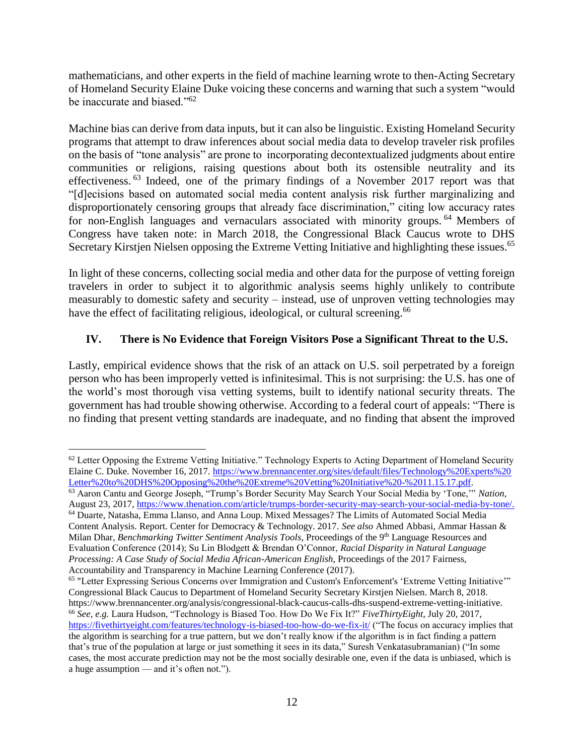mathematicians, and other experts in the field of machine learning wrote to then-Acting Secretary of Homeland Security Elaine Duke voicing these concerns and warning that such a system "would be inaccurate and biased."<sup>62</sup>

Machine bias can derive from data inputs, but it can also be linguistic. Existing Homeland Security programs that attempt to draw inferences about social media data to develop traveler risk profiles on the basis of "tone analysis" are prone to incorporating decontextualized judgments about entire communities or religions, raising questions about both its ostensible neutrality and its effectiveness.<sup>63</sup> Indeed, one of the primary findings of a November 2017 report was that "[d]ecisions based on automated social media content analysis risk further marginalizing and disproportionately censoring groups that already face discrimination," citing low accuracy rates for non-English languages and vernaculars associated with minority groups. <sup>64</sup> Members of Congress have taken note: in March 2018, the Congressional Black Caucus wrote to DHS Secretary Kirstjen Nielsen opposing the Extreme Vetting Initiative and highlighting these issues.<sup>65</sup>

In light of these concerns, collecting social media and other data for the purpose of vetting foreign travelers in order to subject it to algorithmic analysis seems highly unlikely to contribute measurably to domestic safety and security – instead, use of unproven vetting technologies may have the effect of facilitating religious, ideological, or cultural screening.<sup>66</sup>

# **IV. There is No Evidence that Foreign Visitors Pose a Significant Threat to the U.S.**

Lastly, empirical evidence shows that the risk of an attack on U.S. soil perpetrated by a foreign person who has been improperly vetted is infinitesimal. This is not surprising: the U.S. has one of the world's most thorough visa vetting systems, built to identify national security threats. The government has had trouble showing otherwise. According to a federal court of appeals: "There is no finding that present vetting standards are inadequate, and no finding that absent the improved

 $\overline{a}$  $62$  Letter Opposing the Extreme Vetting Initiative." Technology Experts to Acting Department of Homeland Security Elaine C. Duke. November 16, 2017. [https://www.brennancenter.org/sites/default/files/Technology%20Experts%20](https://www.brennancenter.org/sites/default/files/Technology%20Experts%20Letter%20to%20DHS%20Opposing%20the%20Extreme%20Vetting%20Initiative%20-%2011.15.17.pdf) [Letter%20to%20DHS%20Opposing%20the%20Extreme%20Vetting%20Initiative%20-%2011.15.17.pdf.](https://www.brennancenter.org/sites/default/files/Technology%20Experts%20Letter%20to%20DHS%20Opposing%20the%20Extreme%20Vetting%20Initiative%20-%2011.15.17.pdf)

<sup>63</sup> Aaron Cantu and George Joseph, "Trump's Border Security May Search Your Social Media by 'Tone,'" *Nation,*  August 23, 2017, [https://www.thenation.com/article/trumps-border-security-may-search-your-social-media-by-tone/.](https://www.thenation.com/article/trumps-border-security-may-search-your-social-media-by-tone/)

<sup>64</sup> Duarte, Natasha, Emma Llanso, and Anna Loup. Mixed Messages? The Limits of Automated Social Media Content Analysis. Report. Center for Democracy & Technology. 2017. *See also* Ahmed Abbasi, Ammar Hassan & Milan Dhar, *Benchmarking Twitter Sentiment Analysis Tools*, Proceedings of the 9th Language Resources and Evaluation Conference (2014); Su Lin Blodgett & Brendan O'Connor, *Racial Disparity in Natural Language Processing: A Case Study of Social Media African-American English*, Proceedings of the 2017 Fairness, Accountability and Transparency in Machine Learning Conference (2017).

<sup>&</sup>lt;sup>65</sup> "Letter Expressing Serious Concerns over Immigration and Custom's Enforcement's 'Extreme Vetting Initiative'" Congressional Black Caucus to Department of Homeland Security Secretary Kirstjen Nielsen. March 8, 2018. https://www.brennancenter.org/analysis/congressional-black-caucus-calls-dhs-suspend-extreme-vetting-initiative. <sup>66</sup> *See, e.g.* Laura Hudson, "Technology is Biased Too. How Do We Fix It?" *FiveThirtyEight*, July 20, 2017, <https://fivethirtyeight.com/features/technology-is-biased-too-how-do-we-fix-it/> ("The focus on accuracy implies that the algorithm is searching for a true pattern, but we don't really know if the algorithm is in fact finding a pattern that's true of the population at large or just something it sees in its data," Suresh Venkatasubramanian) ("In some cases, the most accurate prediction may not be the most socially desirable one, even if the data is unbiased, which is a huge assumption — and it's often not.").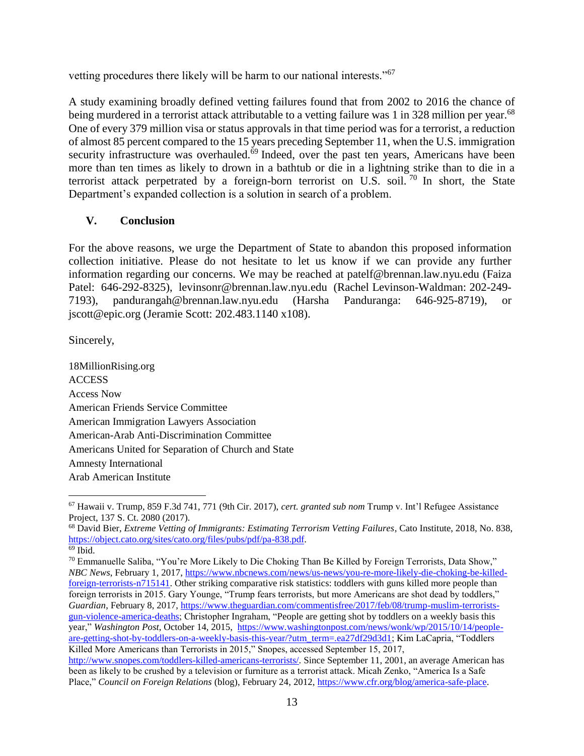vetting procedures there likely will be harm to our national interests."<sup>67</sup>

A study examining broadly defined vetting failures found that from 2002 to 2016 the chance of being murdered in a terrorist attack attributable to a vetting failure was 1 in 328 million per year.<sup>68</sup> One of every 379 million visa or status approvals in that time period was for a terrorist, a reduction of almost 85 percent compared to the 15 years preceding September 11, when the U.S. immigration security infrastructure was overhauled.<sup>69</sup> Indeed, over the past ten years, Americans have been more than ten times as likely to drown in a bathtub or die in a lightning strike than to die in a terrorist attack perpetrated by a foreign-born terrorist on U.S. soil.<sup>70</sup> In short, the State Department's expanded collection is a solution in search of a problem.

### **V. Conclusion**

For the above reasons, we urge the Department of State to abandon this proposed information collection initiative. Please do not hesitate to let us know if we can provide any further information regarding our concerns. We may be reached at [patelf@brennan.law.nyu.edu](mailto:patelf@brennan.law.nyu.edu) (Faiza Patel: 646-292-8325[\), levinsonr@brennan.law.nyu.edu](mailto:levinsonr@brennan.law.nyu.edu) (Rachel Levinson-Waldman: 202-249- 7193), [pandurangah@brennan.law.nyu.edu](mailto:pandurangah@brennan.law.nyu.edu) (Harsha Panduranga: 646-925-8719), or jscott@epic.org (Jeramie Scott: 202.483.1140 x108).

Sincerely,

18MillionRising.org ACCESS Access Now American Friends Service Committee American Immigration Lawyers Association American-Arab Anti-Discrimination Committee Americans United for Separation of Church and State Amnesty International Arab American Institute

<sup>67</sup> Hawaii v. Trump, 859 F.3d 741, 771 (9th Cir. 2017), *cert. granted sub nom* Trump v. Int'l Refugee Assistance Project, 137 S. Ct. 2080 (2017).

<sup>68</sup> David Bier, *Extreme Vetting of Immigrants: Estimating Terrorism Vetting Failures*, Cato Institute, 2018, No. 838, [https://object.cato.org/sites/cato.org/files/pubs/pdf/pa-838.pdf.](https://object.cato.org/sites/cato.org/files/pubs/pdf/pa-838.pdf)

 $69$  Ibid.

<sup>70</sup> Emmanuelle Saliba, "You're More Likely to Die Choking Than Be Killed by Foreign Terrorists, Data Show," *NBC News*, February 1, 2017, [https://www.nbcnews.com/news/us-news/you-re-more-likely-die-choking-be-killed](https://www.nbcnews.com/news/us-news/you-re-more-likely-die-choking-be-killed-foreign-terrorists-n715141)[foreign-terrorists-n715141.](https://www.nbcnews.com/news/us-news/you-re-more-likely-die-choking-be-killed-foreign-terrorists-n715141) Other striking comparative risk statistics: toddlers with guns killed more people than foreign terrorists in 2015. Gary Younge, "Trump fears terrorists, but more Americans are shot dead by toddlers," *Guardian*, February 8, 2017, [https://www.theguardian.com/commentisfree/2017/feb/08/trump-muslim-terrorists](https://www.theguardian.com/commentisfree/2017/feb/08/trump-muslim-terrorists-gun-violence-america-deaths)[gun-violence-america-deaths;](https://www.theguardian.com/commentisfree/2017/feb/08/trump-muslim-terrorists-gun-violence-america-deaths) Christopher Ingraham, "People are getting shot by toddlers on a weekly basis this year," *Washington Post*, October 14, 2015, [https://www.washingtonpost.com/news/wonk/wp/2015/10/14/people](https://www.washingtonpost.com/news/wonk/wp/2015/10/14/people-are-getting-shot-by-toddlers-on-a-weekly-basis-this-year/?utm_term=.ea27df29d3d1)[are-getting-shot-by-toddlers-on-a-weekly-basis-this-year/?utm\\_term=.ea27df29d3d1;](https://www.washingtonpost.com/news/wonk/wp/2015/10/14/people-are-getting-shot-by-toddlers-on-a-weekly-basis-this-year/?utm_term=.ea27df29d3d1) Kim LaCapria, "Toddlers Killed More Americans than Terrorists in 2015," Snopes, accessed September 15, 2017,

[http://www.snopes.com/toddlers-killed-americans-terrorists/.](http://www.snopes.com/toddlers-killed-americans-terrorists/) Since September 11, 2001, an average American has been as likely to be crushed by a television or furniture as a terrorist attack. Micah Zenko, "America Is a Safe Place," *Council on Foreign Relations* (blog), February 24, 2012, [https://www.cfr.org/blog/america-safe-place.](https://www.cfr.org/blog/america-safe-place)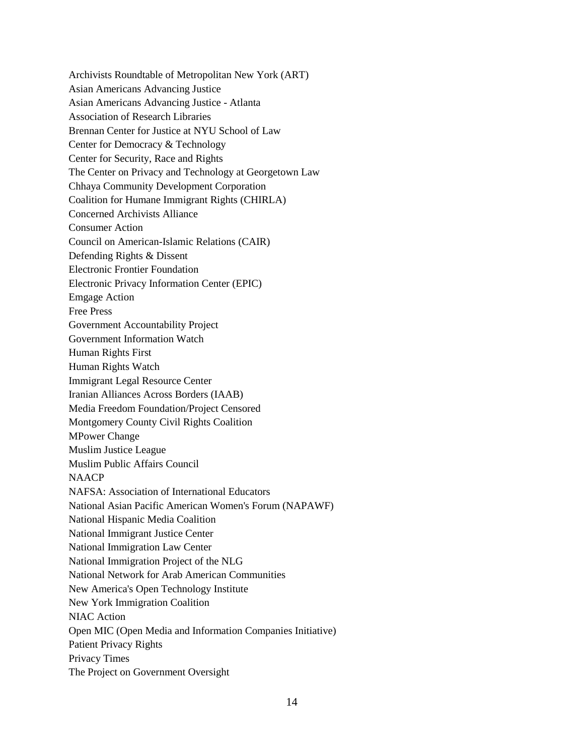Archivists Roundtable of Metropolitan New York (ART) Asian Americans Advancing Justice Asian Americans Advancing Justice - Atlanta Association of Research Libraries Brennan Center for Justice at NYU School of Law Center for Democracy & Technology Center for Security, Race and Rights The Center on Privacy and Technology at Georgetown Law Chhaya Community Development Corporation Coalition for Humane Immigrant Rights (CHIRLA) Concerned Archivists Alliance Consumer Action Council on American-Islamic Relations (CAIR) Defending Rights & Dissent Electronic Frontier Foundation Electronic Privacy Information Center (EPIC) Emgage Action Free Press Government Accountability Project Government Information Watch Human Rights First Human Rights Watch Immigrant Legal Resource Center Iranian Alliances Across Borders (IAAB) Media Freedom Foundation/Project Censored Montgomery County Civil Rights Coalition MPower Change Muslim Justice League Muslim Public Affairs Council **NAACP** NAFSA: Association of International Educators National Asian Pacific American Women's Forum (NAPAWF) National Hispanic Media Coalition National Immigrant Justice Center National Immigration Law Center National Immigration Project of the NLG National Network for Arab American Communities New America's Open Technology Institute New York Immigration Coalition NIAC Action Open MIC (Open Media and Information Companies Initiative) Patient Privacy Rights Privacy Times The Project on Government Oversight